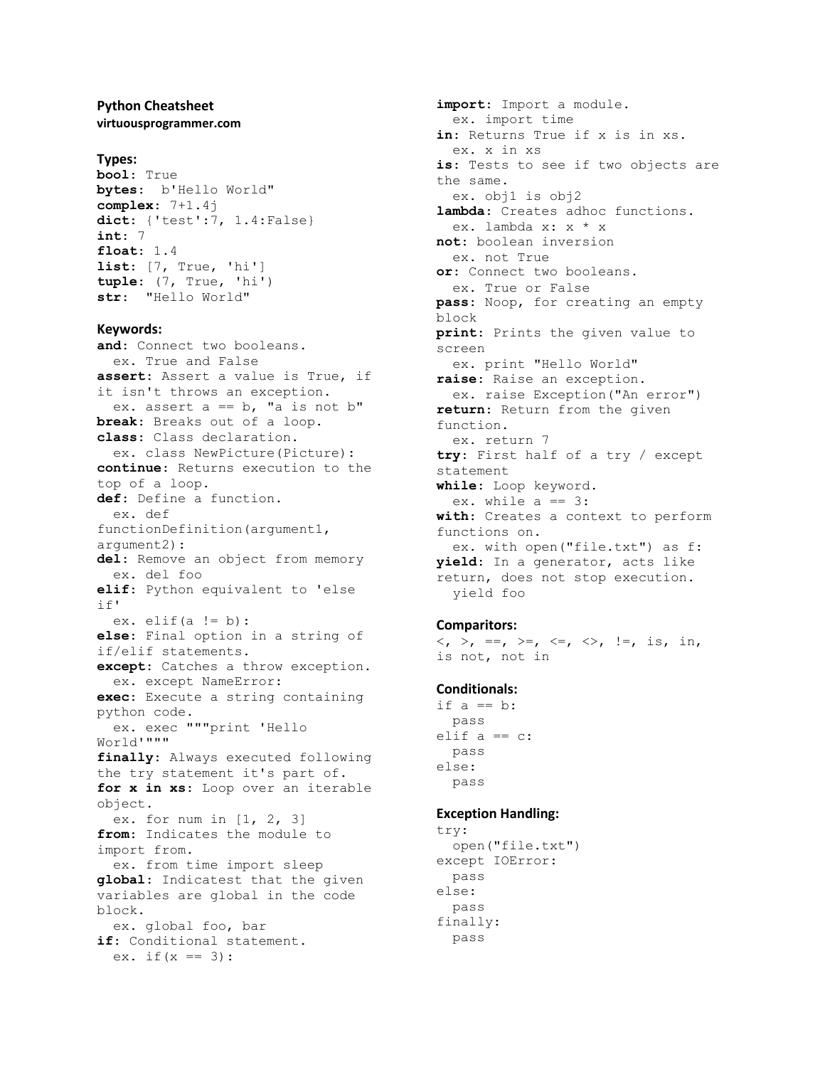### **Python Cheatsheet virtuousprogrammer.com**

### **Types:**

```
bool: True
bytes: b'Hello World"
complex: 7+1.4j
dict: {'test':7, 1.4:False}
int: 7
float: 1.4
list: [7, True, 'hi']
tuple: (7, True, 'hi')
str: "Hello World"
```
#### **Keywords:**

**and**: Connect two booleans. ex. True and False **assert**: Assert a value is True, if it isn't throws an exception. ex. assert  $a == b$ , "a is not  $b$ " **break**: Breaks out of a loop. **class**: Class declaration. ex. class NewPicture(Picture): **continue**: Returns execution to the top of a loop. **def**: Define a function. ex. def functionDefinition(argument1, argument2): **del**: Remove an object from memory ex. del foo **elif**: Python equivalent to 'else if' ex. elif $(a := b)$ : **else**: Final option in a string of if/elif statements. **except**: Catches a throw exception. ex. except NameError: **exec**: Execute a string containing python code. ex. exec """print 'Hello World'""" **finally**: Always executed following the try statement it's part of. **for x in xs**: Loop over an iterable object. ex. for num in [1, 2, 3] **from**: Indicates the module to import from. ex. from time import sleep **global**: Indicatest that the given variables are global in the code block. ex. global foo, bar **if**: Conditional statement. ex. if  $(x == 3)$ :

**import**: Import a module. ex. import time **in**: Returns True if x is in xs. ex. x in xs **is**: Tests to see if two objects are the same. ex. obj1 is obj2 **lambda**: Creates adhoc functions. ex. lambda x: x \* x **not**: boolean inversion ex. not True **or**: Connect two booleans. ex. True or False **pass**: Noop, for creating an empty block **print**: Prints the given value to screen ex. print "Hello World" **raise**: Raise an exception. ex. raise Exception("An error") **return**: Return from the given function. ex. return 7 **try**: First half of a try / except statement **while**: Loop keyword. ex. while  $a == 3$ : **with**: Creates a context to perform functions on. ex. with open("file.txt") as f: **yield**: In a generator, acts like return, does not stop execution. yield foo

## **Comparitors:**

```
\langle , \rangle, ==, \rangle=, \langle = , \rangle, \langle = , \rangle, \vert = , \rangle is, in,
is not, not in
```
#### **Conditionals:**

if  $a == b$ : pass elif  $a == c$ : pass else: pass

#### **Exception Handling:**

```
try:
   open("file.txt")
except IOError:
 pass
else:
  pass
finally:
  pass
```